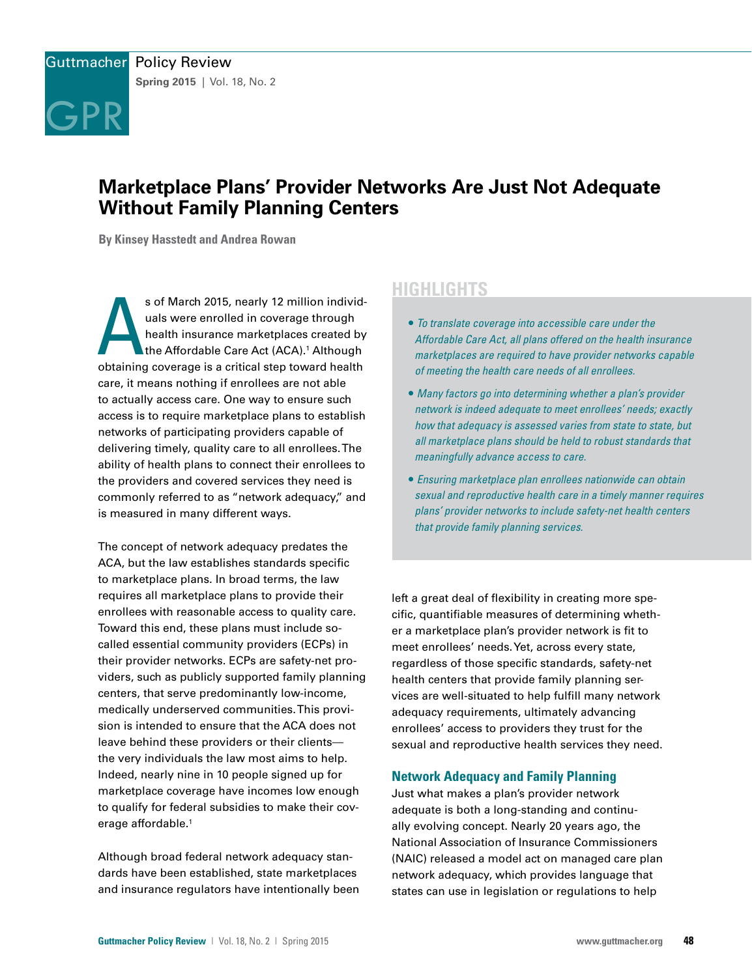

# **Marketplace Plans' Provider Networks Are Just Not Adequate Without Family Planning Centers**

**By Kinsey Hasstedt and Andrea Rowan**

s of March 2015, nearly 12 million individuals were enrolled in coverage through<br>health insurance marketplaces created by<br>the Affordable Care Act (ACA).<sup>1</sup> Although<br>obtaining coverage is a critical step toward health s of March 2015, nearly 12 million individuals were enrolled in coverage through health insurance marketplaces created by the Affordable Care Act (ACA).<sup>1</sup> Although care, it means nothing if enrollees are not able to actually access care. One way to ensure such access is to require marketplace plans to establish networks of participating providers capable of delivering timely, quality care to all enrollees. The ability of health plans to connect their enrollees to the providers and covered services they need is commonly referred to as "network adequacy," and is measured in many different ways.

The concept of network adequacy predates the ACA, but the law establishes standards specific to marketplace plans. In broad terms, the law requires all marketplace plans to provide their enrollees with reasonable access to quality care. Toward this end, these plans must include socalled essential community providers (ECPs) in their provider networks. ECPs are safety-net providers, such as publicly supported family planning centers, that serve predominantly low-income, medically underserved communities. This provision is intended to ensure that the ACA does not leave behind these providers or their clients the very individuals the law most aims to help. Indeed, nearly nine in 10 people signed up for marketplace coverage have incomes low enough to qualify for federal subsidies to make their coverage affordable.<sup>1</sup>

Although broad federal network adequacy standards have been established, state marketplaces and insurance regulators have intentionally been

# **HIGHLIGHTS**

- *To translate coverage into accessible care under the Affordable Care Act, all plans offered on the health insurance marketplaces are required to have provider networks capable of meeting the health care needs of all enrollees.*
- *Many factors go into determining whether a plan's provider network is indeed adequate to meet enrollees' needs; exactly how that adequacy is assessed varies from state to state, but all marketplace plans should be held to robust standards that meaningfully advance access to care.*
- *Ensuring marketplace plan enrollees nationwide can obtain sexual and reproductive health care in a timely manner requires plans' provider networks to include safety-net health centers that provide family planning services.*

left a great deal of flexibility in creating more specific, quantifiable measures of determining whether a marketplace plan's provider network is fit to meet enrollees' needs. Yet, across every state, regardless of those specific standards, safety-net health centers that provide family planning services are well-situated to help fulfill many network adequacy requirements, ultimately advancing enrollees' access to providers they trust for the sexual and reproductive health services they need.

# **Network Adequacy and Family Planning**

Just what makes a plan's provider network adequate is both a long-standing and continually evolving concept. Nearly 20 years ago, the National Association of Insurance Commissioners (NAIC) released a model act on managed care plan network adequacy, which provides language that states can use in legislation or regulations to help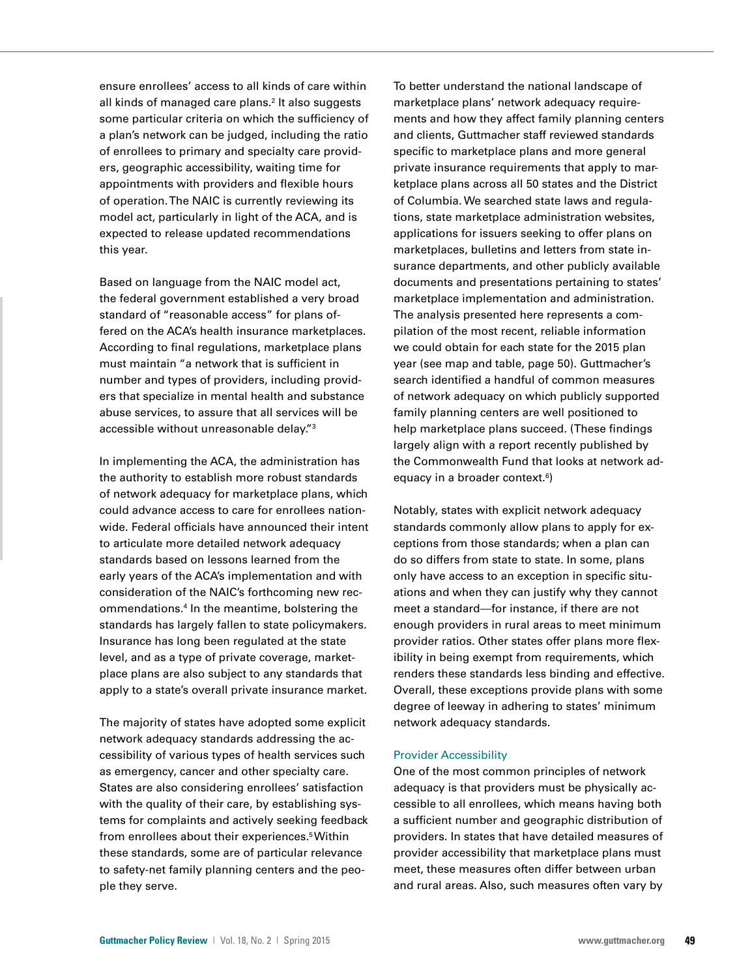ensure enrollees' access to all kinds of care within all kinds of managed care plans.2 It also suggests some particular criteria on which the sufficiency of a plan's network can be judged, including the ratio of enrollees to primary and specialty care providers, geographic accessibility, waiting time for appointments with providers and flexible hours of operation. The NAIC is currently reviewing its model act, particularly in light of the ACA, and is expected to release updated recommendations this year.

Based on language from the NAIC model act, the federal government established a very broad standard of "reasonable access" for plans offered on the ACA's health insurance marketplaces. According to final regulations, marketplace plans must maintain "a network that is sufficient in number and types of providers, including providers that specialize in mental health and substance abuse services, to assure that all services will be accessible without unreasonable delay."3

In implementing the ACA, the administration has the authority to establish more robust standards of network adequacy for marketplace plans, which could advance access to care for enrollees nationwide. Federal officials have announced their intent to articulate more detailed network adequacy standards based on lessons learned from the early years of the ACA's implementation and with consideration of the NAIC's forthcoming new recommendations.4 In the meantime, bolstering the standards has largely fallen to state policymakers. Insurance has long been regulated at the state level, and as a type of private coverage, marketplace plans are also subject to any standards that apply to a state's overall private insurance market.

The majority of states have adopted some explicit network adequacy standards addressing the accessibility of various types of health services such as emergency, cancer and other specialty care. States are also considering enrollees' satisfaction with the quality of their care, by establishing systems for complaints and actively seeking feedback from enrollees about their experiences.<sup>5</sup> Within these standards, some are of particular relevance to safety-net family planning centers and the people they serve.

To better understand the national landscape of marketplace plans' network adequacy requirements and how they affect family planning centers and clients, Guttmacher staff reviewed standards specific to marketplace plans and more general private insurance requirements that apply to marketplace plans across all 50 states and the District of Columbia. We searched state laws and regulations, state marketplace administration websites, applications for issuers seeking to offer plans on marketplaces, bulletins and letters from state insurance departments, and other publicly available documents and presentations pertaining to states' marketplace implementation and administration. The analysis presented here represents a compilation of the most recent, reliable information we could obtain for each state for the 2015 plan year (see map and table, page 50). Guttmacher's search identified a handful of common measures of network adequacy on which publicly supported family planning centers are well positioned to help marketplace plans succeed. (These findings largely align with a report recently published by the Commonwealth Fund that looks at network adequacy in a broader context.<sup>6</sup>)

Notably, states with explicit network adequacy standards commonly allow plans to apply for exceptions from those standards; when a plan can do so differs from state to state. In some, plans only have access to an exception in specific situations and when they can justify why they cannot meet a standard—for instance, if there are not enough providers in rural areas to meet minimum provider ratios. Other states offer plans more flexibility in being exempt from requirements, which renders these standards less binding and effective. Overall, these exceptions provide plans with some degree of leeway in adhering to states' minimum network adequacy standards.

#### Provider Accessibility

One of the most common principles of network adequacy is that providers must be physically accessible to all enrollees, which means having both a sufficient number and geographic distribution of providers. In states that have detailed measures of provider accessibility that marketplace plans must meet, these measures often differ between urban and rural areas. Also, such measures often vary by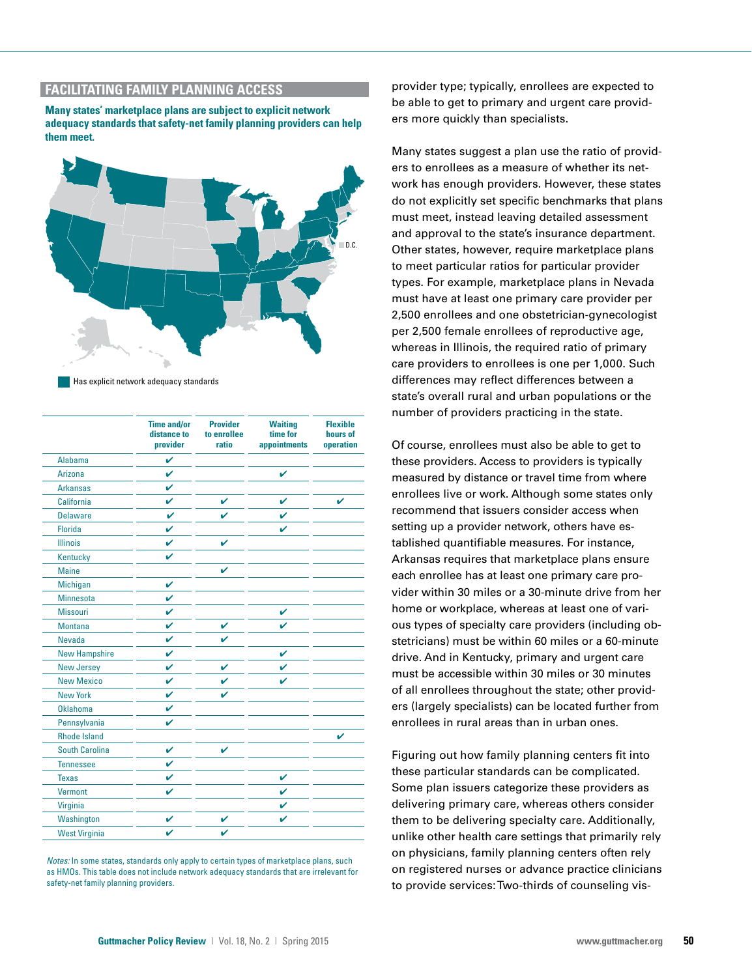# **FACILITATING FAMILY PLANNING ACCESS**

**Many states' marketplace plans are subject to explicit network adequacy standards that safety-net family planning providers can help them meet.**



Has explicit network adequacy standards Has explicit network adequacy standards

|                      | <b>Time and/or</b><br>distance to<br>provider | <b>Provider</b><br>to enrollee<br>ratio | <b>Waiting</b><br>time for<br>appointments | <b>Flexible</b><br>hours of<br>operation |
|----------------------|-----------------------------------------------|-----------------------------------------|--------------------------------------------|------------------------------------------|
| Alabama              | V                                             |                                         |                                            |                                          |
| <b>Arizona</b>       | V                                             |                                         | V                                          |                                          |
| <b>Arkansas</b>      | V                                             |                                         |                                            |                                          |
| <b>California</b>    | ✓                                             | V                                       | V                                          | V                                        |
| <b>Delaware</b>      | V                                             | ✓                                       | ✔                                          |                                          |
| <b>Florida</b>       | V                                             |                                         | V                                          |                                          |
| <b>Illinois</b>      | V                                             | V                                       |                                            |                                          |
| Kentucky             | V                                             |                                         |                                            |                                          |
| <b>Maine</b>         |                                               | V                                       |                                            |                                          |
| Michigan             | V                                             |                                         |                                            |                                          |
| <b>Minnesota</b>     | V                                             |                                         |                                            |                                          |
| <b>Missouri</b>      | V                                             |                                         | V                                          |                                          |
| <b>Montana</b>       | V                                             | V                                       | ✓                                          |                                          |
| <b>Nevada</b>        | $\mathbf v$                                   | ✓                                       |                                            |                                          |
| <b>New Hampshire</b> | V                                             |                                         | V                                          |                                          |
| <b>New Jersey</b>    | V                                             | V                                       | V                                          |                                          |
| <b>New Mexico</b>    | V                                             | V                                       | V                                          |                                          |
| <b>New York</b>      | V                                             | V                                       |                                            |                                          |
| Oklahoma             | V                                             |                                         |                                            |                                          |
| Pennsylvania         | V                                             |                                         |                                            |                                          |
| <b>Rhode Island</b>  |                                               |                                         |                                            | V                                        |
| South Carolina       | V                                             | ✓                                       |                                            |                                          |
| <b>Tennessee</b>     | V                                             |                                         |                                            |                                          |
| <b>Texas</b>         | V                                             |                                         | ✓                                          |                                          |
| <b>Vermont</b>       | V                                             |                                         | V                                          |                                          |
| Virginia             |                                               |                                         | V                                          |                                          |
| Washington           | V                                             | ✓                                       | V                                          |                                          |
| <b>West Virginia</b> | V                                             | V                                       |                                            |                                          |

*Notes:* In some states, standards only apply to certain types of marketplace plans, such as HMOs. This table does not include network adequacy standards that are irrelevant for safety-net family planning providers.

provider type; typically, enrollees are expected to be able to get to primary and urgent care providers more quickly than specialists.

Many states suggest a plan use the ratio of providers to enrollees as a measure of whether its network has enough providers. However, these states do not explicitly set specific benchmarks that plans must meet, instead leaving detailed assessment and approval to the state's insurance department. Other states, however, require marketplace plans to meet particular ratios for particular provider types. For example, marketplace plans in Nevada must have at least one primary care provider per 2,500 enrollees and one obstetrician-gynecologist per 2,500 female enrollees of reproductive age, whereas in Illinois, the required ratio of primary care providers to enrollees is one per 1,000. Such differences may reflect differences between a state's overall rural and urban populations or the number of providers practicing in the state.

Of course, enrollees must also be able to get to these providers. Access to providers is typically measured by distance or travel time from where enrollees live or work. Although some states only recommend that issuers consider access when setting up a provider network, others have established quantifiable measures. For instance, Arkansas requires that marketplace plans ensure each enrollee has at least one primary care provider within 30 miles or a 30-minute drive from her home or workplace, whereas at least one of various types of specialty care providers (including obstetricians) must be within 60 miles or a 60-minute drive. And in Kentucky, primary and urgent care must be accessible within 30 miles or 30 minutes of all enrollees throughout the state; other providers (largely specialists) can be located further from enrollees in rural areas than in urban ones.

Figuring out how family planning centers fit into these particular standards can be complicated. Some plan issuers categorize these providers as delivering primary care, whereas others consider them to be delivering specialty care. Additionally, unlike other health care settings that primarily rely on physicians, family planning centers often rely on registered nurses or advance practice clinicians to provide services: Two-thirds of counseling vis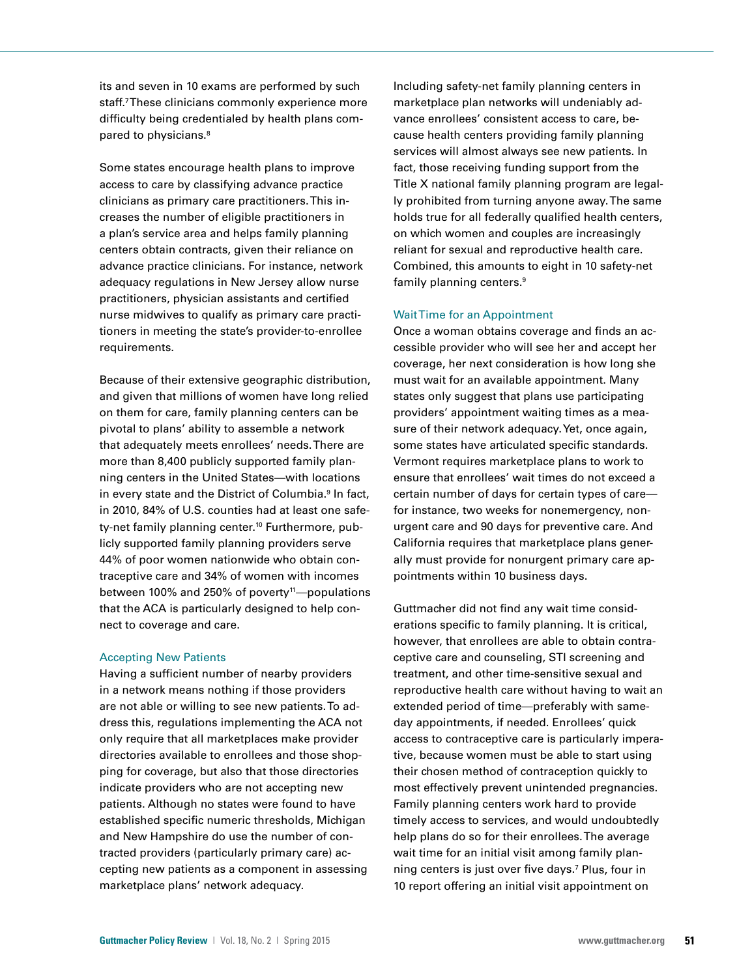its and seven in 10 exams are performed by such staff.7 These clinicians commonly experience more difficulty being credentialed by health plans compared to physicians.8

Some states encourage health plans to improve access to care by classifying advance practice clinicians as primary care practitioners. This increases the number of eligible practitioners in a plan's service area and helps family planning centers obtain contracts, given their reliance on advance practice clinicians. For instance, network adequacy regulations in New Jersey allow nurse practitioners, physician assistants and certified nurse midwives to qualify as primary care practitioners in meeting the state's provider-to-enrollee requirements.

Because of their extensive geographic distribution, and given that millions of women have long relied on them for care, family planning centers can be pivotal to plans' ability to assemble a network that adequately meets enrollees' needs. There are more than 8,400 publicly supported family planning centers in the United States—with locations in every state and the District of Columbia.<sup>9</sup> In fact, in 2010, 84% of U.S. counties had at least one safety-net family planning center.10 Furthermore, publicly supported family planning providers serve 44% of poor women nationwide who obtain contraceptive care and 34% of women with incomes between 100% and 250% of poverty<sup>11</sup>—populations that the ACA is particularly designed to help connect to coverage and care.

#### Accepting New Patients

Having a sufficient number of nearby providers in a network means nothing if those providers are not able or willing to see new patients. To address this, regulations implementing the ACA not only require that all marketplaces make provider directories available to enrollees and those shopping for coverage, but also that those directories indicate providers who are not accepting new patients. Although no states were found to have established specific numeric thresholds, Michigan and New Hampshire do use the number of contracted providers (particularly primary care) accepting new patients as a component in assessing marketplace plans' network adequacy.

Including safety-net family planning centers in marketplace plan networks will undeniably advance enrollees' consistent access to care, because health centers providing family planning services will almost always see new patients. In fact, those receiving funding support from the Title X national family planning program are legally prohibited from turning anyone away. The same holds true for all federally qualified health centers, on which women and couples are increasingly reliant for sexual and reproductive health care. Combined, this amounts to eight in 10 safety-net family planning centers.<sup>9</sup>

#### Wait Time for an Appointment

Once a woman obtains coverage and finds an accessible provider who will see her and accept her coverage, her next consideration is how long she must wait for an available appointment. Many states only suggest that plans use participating providers' appointment waiting times as a measure of their network adequacy. Yet, once again, some states have articulated specific standards. Vermont requires marketplace plans to work to ensure that enrollees' wait times do not exceed a certain number of days for certain types of care for instance, two weeks for nonemergency, nonurgent care and 90 days for preventive care. And California requires that marketplace plans generally must provide for nonurgent primary care appointments within 10 business days.

Guttmacher did not find any wait time considerations specific to family planning. It is critical, however, that enrollees are able to obtain contraceptive care and counseling, STI screening and treatment, and other time-sensitive sexual and reproductive health care without having to wait an extended period of time—preferably with sameday appointments, if needed. Enrollees' quick access to contraceptive care is particularly imperative, because women must be able to start using their chosen method of contraception quickly to most effectively prevent unintended pregnancies. Family planning centers work hard to provide timely access to services, and would undoubtedly help plans do so for their enrollees. The average wait time for an initial visit among family planning centers is just over five days.7 Plus, four in 10 report offering an initial visit appointment on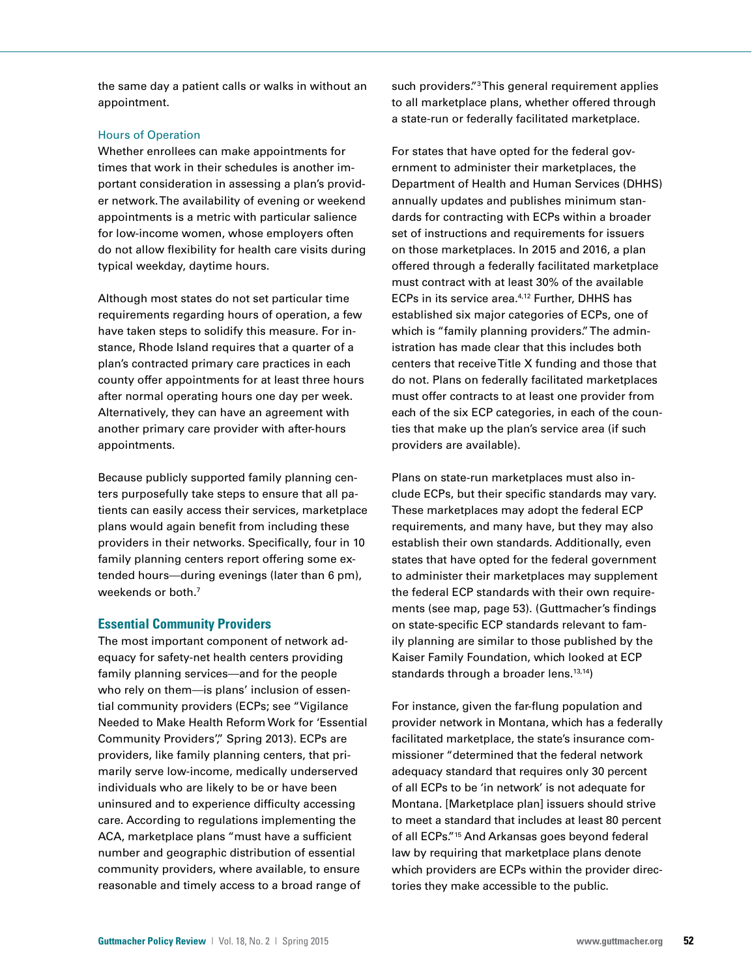the same day a patient calls or walks in without an appointment.

#### Hours of Operation

Whether enrollees can make appointments for times that work in their schedules is another important consideration in assessing a plan's provider network. The availability of evening or weekend appointments is a metric with particular salience for low-income women, whose employers often do not allow flexibility for health care visits during typical weekday, daytime hours.

Although most states do not set particular time requirements regarding hours of operation, a few have taken steps to solidify this measure. For instance, Rhode Island requires that a quarter of a plan's contracted primary care practices in each county offer appointments for at least three hours after normal operating hours one day per week. Alternatively, they can have an agreement with another primary care provider with after-hours appointments.

Because publicly supported family planning centers purposefully take steps to ensure that all patients can easily access their services, marketplace plans would again benefit from including these providers in their networks. Specifically, four in 10 family planning centers report offering some extended hours—during evenings (later than 6 pm), weekends or both.7

## **Essential Community Providers**

The most important component of network adequacy for safety-net health centers providing family planning services—and for the people who rely on them—is plans' inclusion of essential community providers (ECPs; see "Vigilance Needed to Make Health Reform Work for 'Essential Community Providers", Spring 2013). ECPs are providers, like family planning centers, that primarily serve low-income, medically underserved individuals who are likely to be or have been uninsured and to experience difficulty accessing care. According to regulations implementing the ACA, marketplace plans "must have a sufficient number and geographic distribution of essential community providers, where available, to ensure reasonable and timely access to a broad range of

such providers."3 This general requirement applies to all marketplace plans, whether offered through a state-run or federally facilitated marketplace.

For states that have opted for the federal government to administer their marketplaces, the Department of Health and Human Services (DHHS) annually updates and publishes minimum standards for contracting with ECPs within a broader set of instructions and requirements for issuers on those marketplaces. In 2015 and 2016, a plan offered through a federally facilitated marketplace must contract with at least 30% of the available ECPs in its service area.4,12 Further, DHHS has established six major categories of ECPs, one of which is "family planning providers." The administration has made clear that this includes both centers that receive Title X funding and those that do not. Plans on federally facilitated marketplaces must offer contracts to at least one provider from each of the six ECP categories, in each of the counties that make up the plan's service area (if such providers are available).

Plans on state-run marketplaces must also include ECPs, but their specific standards may vary. These marketplaces may adopt the federal ECP requirements, and many have, but they may also establish their own standards. Additionally, even states that have opted for the federal government to administer their marketplaces may supplement the federal ECP standards with their own requirements (see map, page 53). (Guttmacher's findings on state-specific ECP standards relevant to family planning are similar to those published by the Kaiser Family Foundation, which looked at ECP standards through a broader lens.<sup>13,14</sup>)

For instance, given the far-flung population and provider network in Montana, which has a federally facilitated marketplace, the state's insurance commissioner "determined that the federal network adequacy standard that requires only 30 percent of all ECPs to be 'in network' is not adequate for Montana. [Marketplace plan] issuers should strive to meet a standard that includes at least 80 percent of all ECPs."15 And Arkansas goes beyond federal law by requiring that marketplace plans denote which providers are ECPs within the provider directories they make accessible to the public.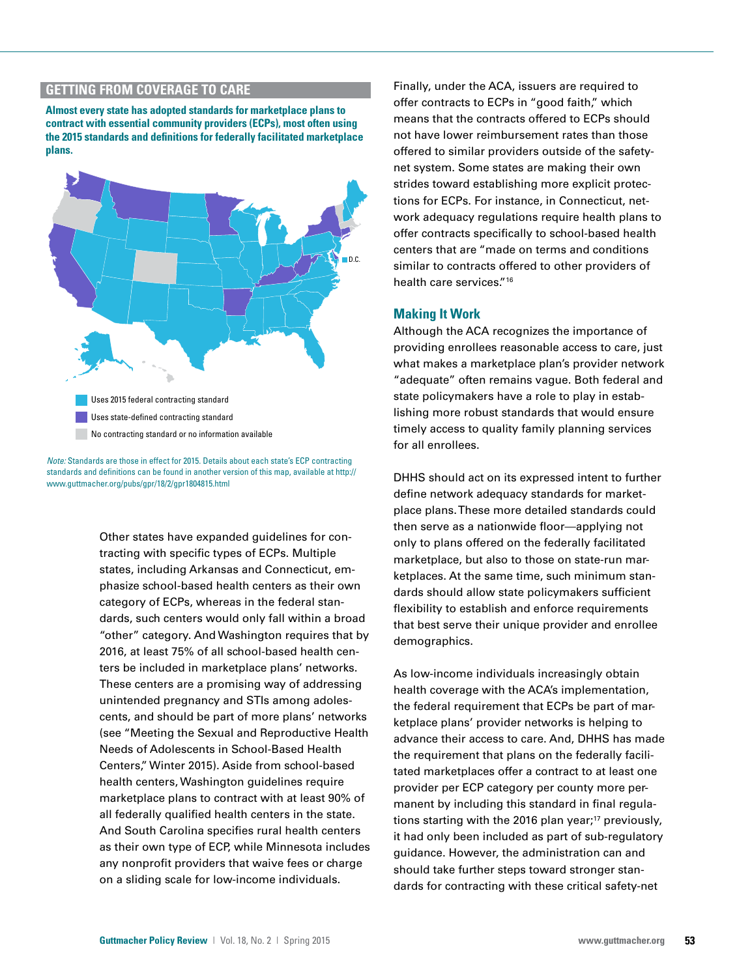# **GETTING FROM COVERAGE TO CARE**

**Almost every state has adopted standards for marketplace plans to contract with essential community providers (ECPs), most often using the 2015 standards and definitions for federally facilitated marketplace plans.**



*Note:* Standards are those in effect for 2015. Details about each state's ECP contracting standards and definitions can be found in another version of this map, available at http:// www.guttmacher.org/pubs/gpr/18/2/gpr1804815.html

> Other states have expanded guidelines for contracting with specific types of ECPs. Multiple states, including Arkansas and Connecticut, emphasize school-based health centers as their own category of ECPs, whereas in the federal standards, such centers would only fall within a broad "other" category. And Washington requires that by 2016, at least 75% of all school-based health centers be included in marketplace plans' networks. These centers are a promising way of addressing unintended pregnancy and STIs among adolescents, and should be part of more plans' networks (see "Meeting the Sexual and Reproductive Health Needs of Adolescents in School-Based Health Centers," Winter 2015). Aside from school-based health centers, Washington guidelines require marketplace plans to contract with at least 90% of all federally qualified health centers in the state. And South Carolina specifies rural health centers as their own type of ECP, while Minnesota includes any nonprofit providers that waive fees or charge on a sliding scale for low-income individuals.

Finally, under the ACA, issuers are required to offer contracts to ECPs in "good faith," which means that the contracts offered to ECPs should not have lower reimbursement rates than those offered to similar providers outside of the safetynet system. Some states are making their own strides toward establishing more explicit protections for ECPs. For instance, in Connecticut, network adequacy regulations require health plans to offer contracts specifically to school-based health centers that are "made on terms and conditions similar to contracts offered to other providers of health care services."16

## **Making It Work**

Although the ACA recognizes the importance of providing enrollees reasonable access to care, just what makes a marketplace plan's provider network "adequate" often remains vague. Both federal and state policymakers have a role to play in establishing more robust standards that would ensure timely access to quality family planning services for all enrollees.

DHHS should act on its expressed intent to further define network adequacy standards for marketplace plans. These more detailed standards could then serve as a nationwide floor—applying not only to plans offered on the federally facilitated marketplace, but also to those on state-run marketplaces. At the same time, such minimum standards should allow state policymakers sufficient flexibility to establish and enforce requirements that best serve their unique provider and enrollee demographics.

As low-income individuals increasingly obtain health coverage with the ACA's implementation, the federal requirement that ECPs be part of marketplace plans' provider networks is helping to advance their access to care. And, DHHS has made the requirement that plans on the federally facilitated marketplaces offer a contract to at least one provider per ECP category per county more permanent by including this standard in final regulations starting with the 2016 plan year;<sup>17</sup> previously, it had only been included as part of sub-regulatory guidance. However, the administration can and should take further steps toward stronger standards for contracting with these critical safety-net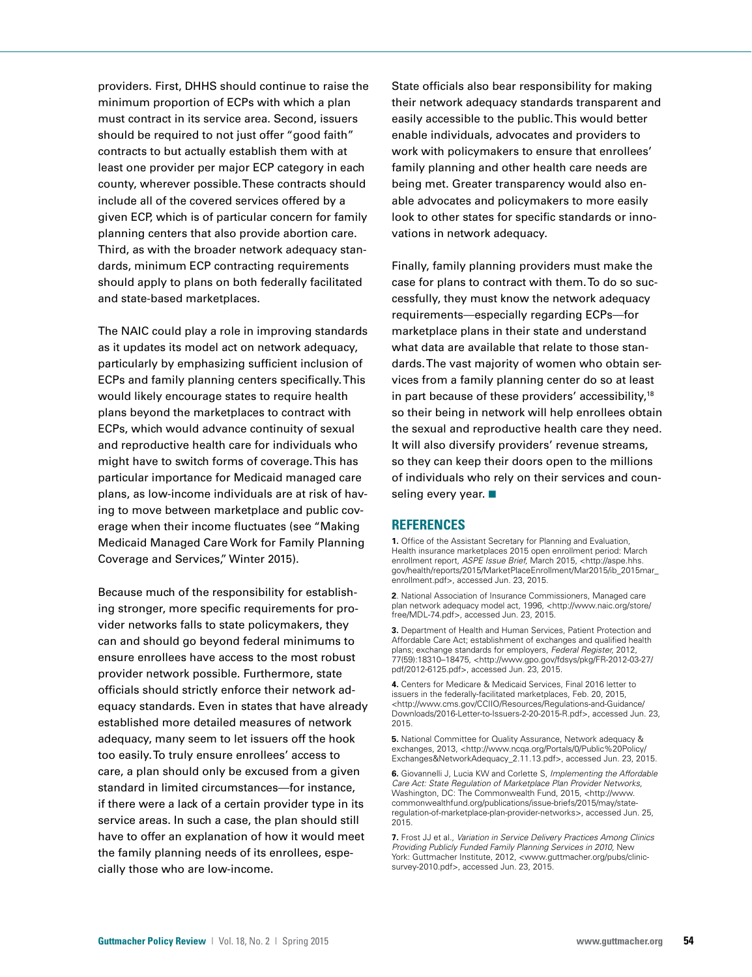providers. First, DHHS should continue to raise the minimum proportion of ECPs with which a plan must contract in its service area. Second, issuers should be required to not just offer "good faith" contracts to but actually establish them with at least one provider per major ECP category in each county, wherever possible. These contracts should include all of the covered services offered by a given ECP, which is of particular concern for family planning centers that also provide abortion care. Third, as with the broader network adequacy standards, minimum ECP contracting requirements should apply to plans on both federally facilitated and state-based marketplaces.

The NAIC could play a role in improving standards as it updates its model act on network adequacy, particularly by emphasizing sufficient inclusion of ECPs and family planning centers specifically. This would likely encourage states to require health plans beyond the marketplaces to contract with ECPs, which would advance continuity of sexual and reproductive health care for individuals who might have to switch forms of coverage. This has particular importance for Medicaid managed care plans, as low-income individuals are at risk of having to move between marketplace and public coverage when their income fluctuates (see "Making Medicaid Managed Care Work for Family Planning Coverage and Services," Winter 2015).

Because much of the responsibility for establishing stronger, more specific requirements for provider networks falls to state policymakers, they can and should go beyond federal minimums to ensure enrollees have access to the most robust provider network possible. Furthermore, state officials should strictly enforce their network adequacy standards. Even in states that have already established more detailed measures of network adequacy, many seem to let issuers off the hook too easily. To truly ensure enrollees' access to care, a plan should only be excused from a given standard in limited circumstances—for instance, if there were a lack of a certain provider type in its service areas. In such a case, the plan should still have to offer an explanation of how it would meet the family planning needs of its enrollees, especially those who are low-income.

State officials also bear responsibility for making their network adequacy standards transparent and easily accessible to the public. This would better enable individuals, advocates and providers to work with policymakers to ensure that enrollees' family planning and other health care needs are being met. Greater transparency would also enable advocates and policymakers to more easily look to other states for specific standards or innovations in network adequacy.

Finally, family planning providers must make the case for plans to contract with them. To do so successfully, they must know the network adequacy requirements—especially regarding ECPs—for marketplace plans in their state and understand what data are available that relate to those standards. The vast majority of women who obtain services from a family planning center do so at least in part because of these providers' accessibility,18 so their being in network will help enrollees obtain the sexual and reproductive health care they need. It will also diversify providers' revenue streams, so they can keep their doors open to the millions of individuals who rely on their services and counseling every year.  $\blacksquare$ 

## **REFERENCES**

**1.** Office of the Assistant Secretary for Planning and Evaluation, Health insurance marketplaces 2015 open enrollment period: March enrollment report, *ASPE Issue Brief*, March 2015, <http://aspe.hhs. gov/health/reports/2015/MarketPlaceEnrollment/Mar2015/ib\_2015mar\_ enrollment.pdf>, accessed Jun. 23, 2015.

**2**. National Association of Insurance Commissioners, Managed care plan network adequacy model act, 1996, <http://www.naic.org/store/ free/MDL-74.pdf>, accessed Jun. 23, 2015.

**3.** Department of Health and Human Services, Patient Protection and Affordable Care Act; establishment of exchanges and qualified health plans; exchange standards for employers, *Federal Register,* 2012, 77(59):18310–18475, <http://www.gpo.gov/fdsys/pkg/FR-2012-03-27/ pdf/2012-6125.pdf>, accessed Jun. 23, 2015.

**4.** Centers for Medicare & Medicaid Services, Final 2016 letter to issuers in the federally-facilitated marketplaces, Feb. 20, 2015, <http://www.cms.gov/CCIIO/Resources/Regulations-and-Guidance/ Downloads/2016-Letter-to-Issuers-2-20-2015-R.pdf>, accessed Jun. 23, 2015.

**5.** National Committee for Quality Assurance, Network adequacy & exchanges, 2013, <http://www.ncqa.org/Portals/0/Public%20Policy/ Exchanges&NetworkAdequacy\_2.11.13.pdf>, accessed Jun. 23, 2015.

**6.** Giovannelli J, Lucia KW and Corlette S, *Implementing the Affordable Care Act: State Regulation of Marketplace Plan Provider Networks,*  Washington, DC: The Commonwealth Fund, 2015, <http://www. commonwealthfund.org/publications/issue-briefs/2015/may/stateregulation-of-marketplace-plan-provider-networks>, accessed Jun. 25, 2015.

**7.** Frost JJ et al., *Variation in Service Delivery Practices Among Clinics Providing Publicly Funded Family Planning Services in 2010,* New York: Guttmacher Institute, 2012, <www.guttmacher.org/pubs/clinicsurvey-2010.pdf>, accessed Jun. 23, 2015.